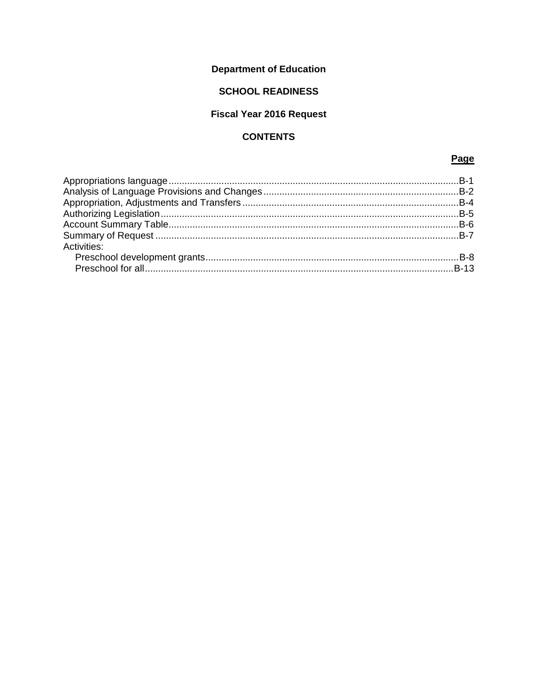# **Department of Education**

## **SCHOOL READINESS**

# **Fiscal Year 2016 Request**

## **CONTENTS**

## Page

| Activities: |  |
|-------------|--|
|             |  |
|             |  |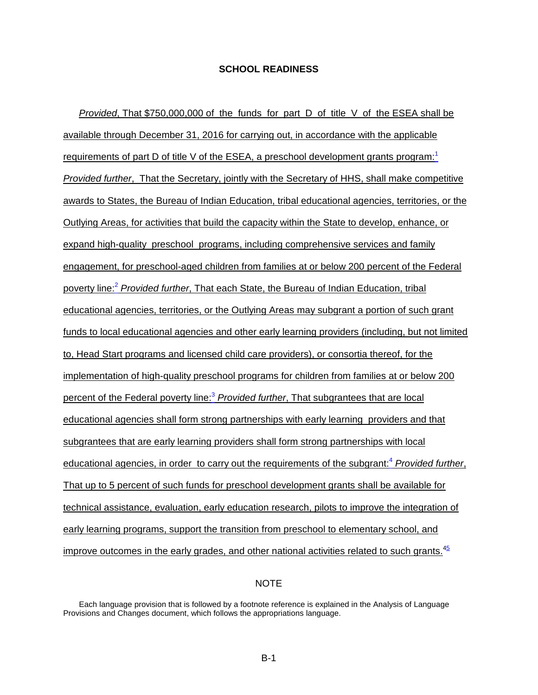<span id="page-1-0"></span>*Provided*, That \$750,000,000 of the funds for part D of title V of the ESEA shall be available through December 31, 2016 for carrying out, in accordance with the applicable requirements of part D of title V of the ESEA, a preschool development grants program:<sup>[1](#page-2-1)</sup> *Provided further*, That the Secretary, jointly with the Secretary of HHS, shall make competitive awards to States, the Bureau of Indian Education, tribal educational agencies, territories, or the Outlying Areas, for activities that build the capacity within the State to develop, enhance, or expand high-quality preschool programs, including comprehensive services and family engagement, for preschool-aged children from families at or below 200 percent of the Federal poverty line[:2](#page-2-2) *Provided further*, That each State, the Bureau of Indian Education, tribal educational agencies, territories, or the Outlying Areas may subgrant a portion of such grant funds to local educational agencies and other early learning providers (including, but not limited to, Head Start programs and licensed child care providers), or consortia thereof, for the implementation of high-quality preschool programs for children from families at or below 200 percent of the Federal poverty line:[3](#page-2-3) *Provided further*, That subgrantees that are local educational agencies shall form strong partnerships with early learning providers and that subgrantees that are early learning providers shall form strong partnerships with local educational agencies, in order to carry out the requirements of the subgrant:<sup>[4](#page-2-4)</sup> Provided further. That up to 5 percent of such funds for preschool development grants shall be available for technical assistance, evaluation, early education research, pilots to improve the integration of early learning programs, support the transition from preschool to elementary school, and improve outcomes in the early grades, and other national activities related to such grants. $45$ 

#### NOTE

Each language provision that is followed by a footnote reference is explained in the Analysis of Language Provisions and Changes document, which follows the appropriations language.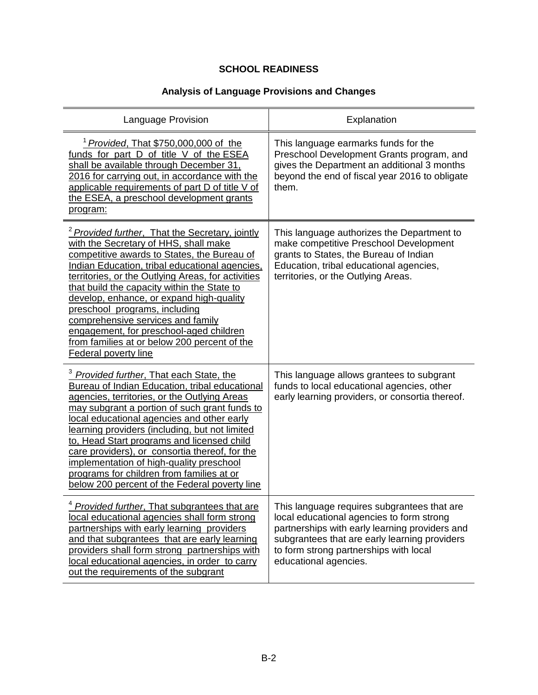# **Analysis of Language Provisions and Changes**

<span id="page-2-4"></span><span id="page-2-3"></span><span id="page-2-2"></span><span id="page-2-1"></span><span id="page-2-0"></span>

| Language Provision                                                                                                                                                                                                                                                                                                                                                                                                                                                                                                                                      | Explanation                                                                                                                                                                                                                                                    |
|---------------------------------------------------------------------------------------------------------------------------------------------------------------------------------------------------------------------------------------------------------------------------------------------------------------------------------------------------------------------------------------------------------------------------------------------------------------------------------------------------------------------------------------------------------|----------------------------------------------------------------------------------------------------------------------------------------------------------------------------------------------------------------------------------------------------------------|
| <sup>1</sup> Provided, That \$750,000,000 of the<br>funds for part D of title V of the ESEA<br>shall be available through December 31,<br>2016 for carrying out, in accordance with the<br>applicable requirements of part D of title V of<br>the ESEA, a preschool development grants<br><u>program:</u>                                                                                                                                                                                                                                               | This language earmarks funds for the<br>Preschool Development Grants program, and<br>gives the Department an additional 3 months<br>beyond the end of fiscal year 2016 to obligate<br>them.                                                                    |
| <sup>2</sup> Provided further, That the Secretary, jointly<br>with the Secretary of HHS, shall make<br>competitive awards to States, the Bureau of<br>Indian Education, tribal educational agencies,<br>territories, or the Outlying Areas, for activities<br>that build the capacity within the State to<br>develop, enhance, or expand high-quality<br>preschool programs, including<br>comprehensive services and family<br>engagement, for preschool-aged children<br>from families at or below 200 percent of the<br>Federal poverty line          | This language authorizes the Department to<br>make competitive Preschool Development<br>grants to States, the Bureau of Indian<br>Education, tribal educational agencies,<br>territories, or the Outlying Areas.                                               |
| <sup>3</sup> Provided further, That each State, the<br><b>Bureau of Indian Education, tribal educational</b><br>agencies, territories, or the Outlying Areas<br>may subgrant a portion of such grant funds to<br>local educational agencies and other early<br>learning providers (including, but not limited<br>to, Head Start programs and licensed child<br>care providers), or consortia thereof, for the<br>implementation of high-quality preschool<br>programs for children from families at or<br>below 200 percent of the Federal poverty line | This language allows grantees to subgrant<br>funds to local educational agencies, other<br>early learning providers, or consortia thereof.                                                                                                                     |
| Provided further, That subgrantees that are<br>local educational agencies shall form strong<br>partnerships with early learning providers<br>and that subgrantees that are early learning<br>providers shall form strong partnerships with<br>local educational agencies, in order to carry<br>out the requirements of the subgrant                                                                                                                                                                                                                     | This language requires subgrantees that are<br>local educational agencies to form strong<br>partnerships with early learning providers and<br>subgrantees that are early learning providers<br>to form strong partnerships with local<br>educational agencies. |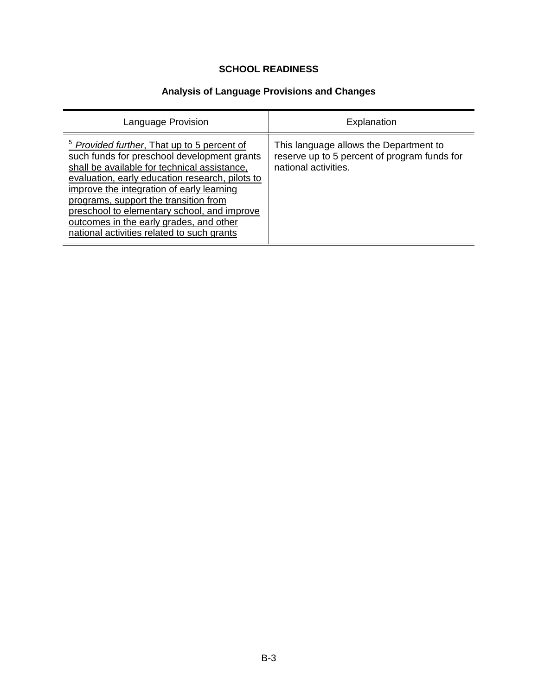# **Analysis of Language Provisions and Changes**

<span id="page-3-0"></span>

| Language Provision                                                                                                                                                                                                                                                                                                                                                                                                                     | Explanation                                                                                                    |
|----------------------------------------------------------------------------------------------------------------------------------------------------------------------------------------------------------------------------------------------------------------------------------------------------------------------------------------------------------------------------------------------------------------------------------------|----------------------------------------------------------------------------------------------------------------|
| <sup>5</sup> Provided further, That up to 5 percent of<br>such funds for preschool development grants<br>shall be available for technical assistance,<br>evaluation, early education research, pilots to<br>improve the integration of early learning<br>programs, support the transition from<br>preschool to elementary school, and improve<br>outcomes in the early grades, and other<br>national activities related to such grants | This language allows the Department to<br>reserve up to 5 percent of program funds for<br>national activities. |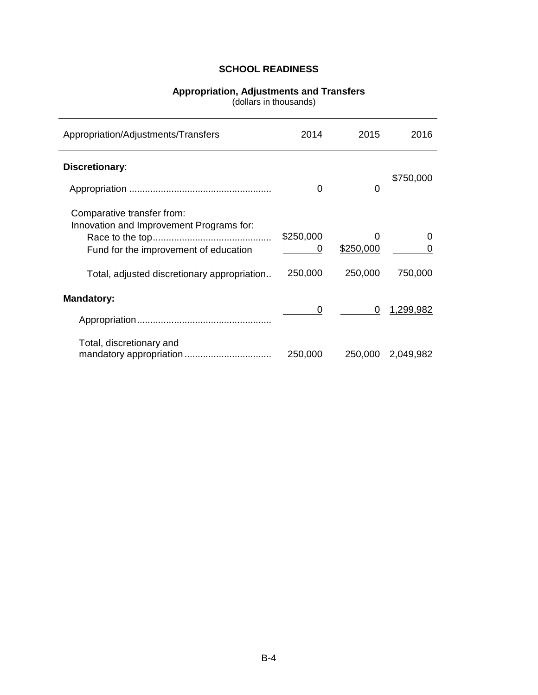#### **Appropriation, Adjustments and Transfers**

(dollars in thousands)

<span id="page-4-0"></span>

| Appropriation/Adjustments/Transfers                                                                             | 2014           | 2015           | 2016              |
|-----------------------------------------------------------------------------------------------------------------|----------------|----------------|-------------------|
| Discretionary:                                                                                                  | 0              | 0              | \$750,000         |
| Comparative transfer from:<br>Innovation and Improvement Programs for:<br>Fund for the improvement of education | \$250,000<br>0 | 0<br>\$250,000 | ∩                 |
| Total, adjusted discretionary appropriation                                                                     | 250,000        | 250,000        | 750,000           |
| <b>Mandatory:</b>                                                                                               | 0              | 0              | 1,299,982         |
| Total, discretionary and                                                                                        | 250,000        |                | 250,000 2,049,982 |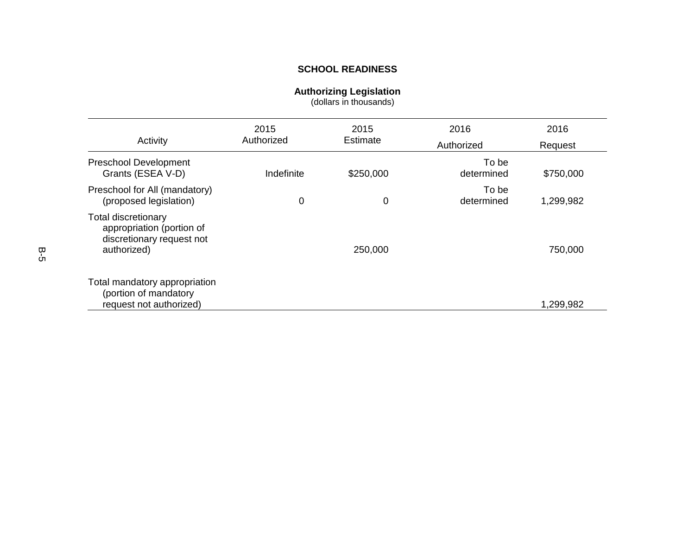#### **Authorizing Legislation**

(dollars in thousands)

<span id="page-5-0"></span>

| Activity                                                                                            | 2015<br>Authorized | 2015<br>Estimate | 2016<br>Authorized  | 2016<br>Request |
|-----------------------------------------------------------------------------------------------------|--------------------|------------------|---------------------|-----------------|
| <b>Preschool Development</b><br>Grants (ESEA V-D)                                                   | Indefinite         | \$250,000        | To be<br>determined | \$750,000       |
| Preschool for All (mandatory)<br>(proposed legislation)                                             | 0                  | 0                | To be<br>determined | 1,299,982       |
| <b>Total discretionary</b><br>appropriation (portion of<br>discretionary request not<br>authorized) |                    | 250,000          |                     | 750,000         |
| Total mandatory appropriation<br>(portion of mandatory<br>request not authorized)                   |                    |                  |                     | 1,299,982       |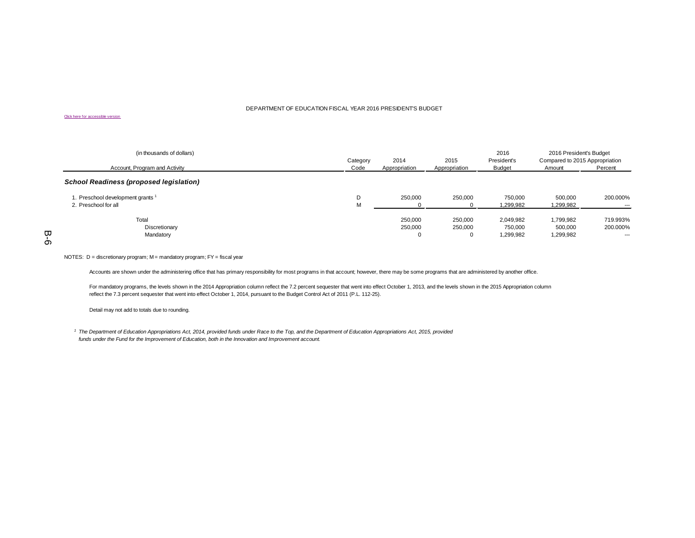#### DEPARTMENT OF EDUCATION FISCAL YEAR 2016 PRESIDENTS BUDGET

#### Click here for accessible version

| (in thousands of dollars)<br>Account, Program and Activity | Category<br>Code | 2014<br>Appropriation    | 2015<br>Appropriation   | 2016<br>President's<br>Budget     | 2016 President's Budget<br>Compared to 2015 Appropriation<br>Amount | Percent                      |
|------------------------------------------------------------|------------------|--------------------------|-------------------------|-----------------------------------|---------------------------------------------------------------------|------------------------------|
| <b>School Readiness (proposed legislation)</b>             |                  |                          |                         |                                   |                                                                     |                              |
| 1. Preschool development grants 1<br>2. Preschool for all  | D<br>M           | 250.000                  | 250,000                 | 750,000<br>1,299,982              | 500.000<br>1,299,982                                                | 200.000%<br>$--$             |
| Total<br>Discretionary<br>Mandatory                        |                  | 250.000<br>250,000<br>-0 | 250,000<br>250,000<br>υ | 2,049,982<br>750,000<br>1,299,982 | 1,799,982<br>500.000<br>1,299,982                                   | 719.993%<br>200.000%<br>$--$ |

#### <span id="page-6-0"></span>NOTES: D = discretionary program; M = mandatory program; FY = fiscal year

Accounts are shown under the administering office that has primary responsibility for most programs in that account; however, there may be some programs that are administered by another office.

[For mandatory programs, the levels shown in the 2014 Appropriation column reflect the 7.2 percent sequester that went into effect October 1, 2013, and the levels shown in the 2015 Appropriation column](http://www2.ed.gov/about/overview/budget/budget16/justifications/b-schoolreadiness508aptsummary.xls) reflect the 7.3 percent sequester that went into effect October 1, 2014, pursuant to the Budget Control Act of 2011 (P.L. 112-25).

Detail may not add to totals due to rounding.

<sup>1</sup> The Department of Education Appropriations Act, 2014, provided funds under Race to the Top, and the Department of Education Appropriations Act, 2015, provided *funds under the Fund for the Improvement of Education, both in the Innovation and Improvement account.*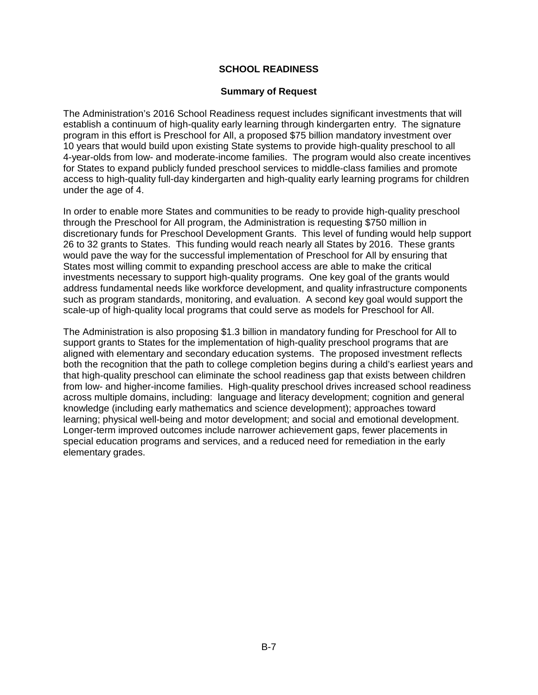#### **Summary of Request**

<span id="page-7-0"></span>The Administration's 2016 School Readiness request includes significant investments that will establish a continuum of high-quality early learning through kindergarten entry. The signature program in this effort is Preschool for All, a proposed \$75 billion mandatory investment over 10 years that would build upon existing State systems to provide high-quality preschool to all 4-year-olds from low- and moderate-income families. The program would also create incentives for States to expand publicly funded preschool services to middle-class families and promote access to high-quality full-day kindergarten and high-quality early learning programs for children under the age of 4.

In order to enable more States and communities to be ready to provide high-quality preschool through the Preschool for All program, the Administration is requesting \$750 million in discretionary funds for Preschool Development Grants. This level of funding would help support 26 to 32 grants to States. This funding would reach nearly all States by 2016. These grants would pave the way for the successful implementation of Preschool for All by ensuring that States most willing commit to expanding preschool access are able to make the critical investments necessary to support high-quality programs. One key goal of the grants would address fundamental needs like workforce development, and quality infrastructure components such as program standards, monitoring, and evaluation. A second key goal would support the scale-up of high-quality local programs that could serve as models for Preschool for All.

The Administration is also proposing \$1.3 billion in mandatory funding for Preschool for All to support grants to States for the implementation of high-quality preschool programs that are aligned with elementary and secondary education systems. The proposed investment reflects both the recognition that the path to college completion begins during a child's earliest years and that high-quality preschool can eliminate the school readiness gap that exists between children from low- and higher-income families. High-quality preschool drives increased school readiness across multiple domains, including: language and literacy development; cognition and general knowledge (including early mathematics and science development); approaches toward learning; physical well-being and motor development; and social and emotional development. Longer-term improved outcomes include narrower achievement gaps, fewer placements in special education programs and services, and a reduced need for remediation in the early elementary grades.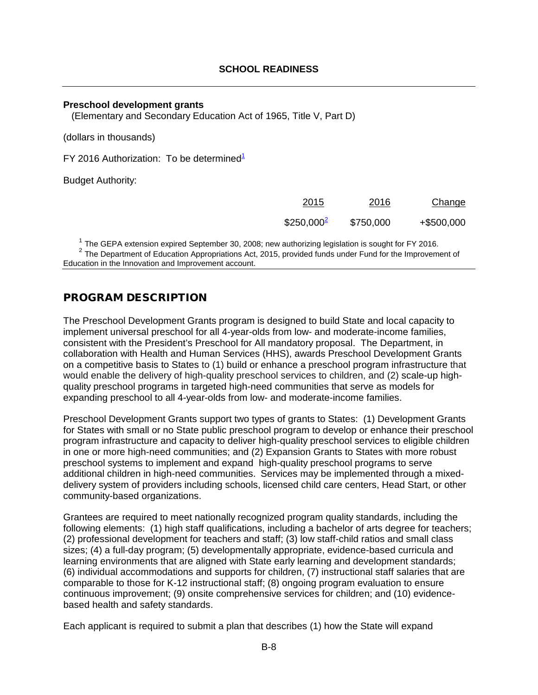#### <span id="page-8-1"></span><span id="page-8-0"></span>**Preschool development grants**

(Elementary and Secondary Education Act of 1965, Title V, Part D)

(dollars in thousands)

FY 20[1](#page-8-2)6 Authorization: To be determined<sup>1</sup>

Budget Authority:

| 2015         | 2016      | Change     |
|--------------|-----------|------------|
| $$250,000^2$ | \$750,000 | +\$500,000 |

<span id="page-8-3"></span><span id="page-8-2"></span><sup>1</sup> The GEPA extension expired September 30, 2008; new authorizing legislation is sought for FY 2016.<br><sup>2</sup> The Department of Education Appropriations Act, 2015, provided funds under Fund for the Improvement of Education in the Innovation and Improvement account.

## PROGRAM DESCRIPTION

The Preschool Development Grants program is designed to build State and local capacity to implement universal preschool for all 4-year-olds from low- and moderate-income families, consistent with the President's Preschool for All mandatory proposal. The Department, in collaboration with Health and Human Services (HHS), awards Preschool Development Grants on a competitive basis to States to (1) build or enhance a preschool program infrastructure that would enable the delivery of high-quality preschool services to children, and (2) scale-up highquality preschool programs in targeted high-need communities that serve as models for expanding preschool to all 4-year-olds from low- and moderate-income families.

Preschool Development Grants support two types of grants to States: (1) Development Grants for States with small or no State public preschool program to develop or enhance their preschool program infrastructure and capacity to deliver high-quality preschool services to eligible children in one or more high-need communities; and (2) Expansion Grants to States with more robust preschool systems to implement and expand high-quality preschool programs to serve additional children in high-need communities. Services may be implemented through a mixeddelivery system of providers including schools, licensed child care centers, Head Start, or other community-based organizations.

Grantees are required to meet nationally recognized program quality standards, including the following elements: (1) high staff qualifications, including a bachelor of arts degree for teachers; (2) professional development for teachers and staff; (3) low staff-child ratios and small class sizes; (4) a full-day program; (5) developmentally appropriate, evidence-based curricula and learning environments that are aligned with State early learning and development standards; (6) individual accommodations and supports for children, (7) instructional staff salaries that are comparable to those for K-12 instructional staff; (8) ongoing program evaluation to ensure continuous improvement; (9) onsite comprehensive services for children; and (10) evidencebased health and safety standards.

Each applicant is required to submit a plan that describes (1) how the State will expand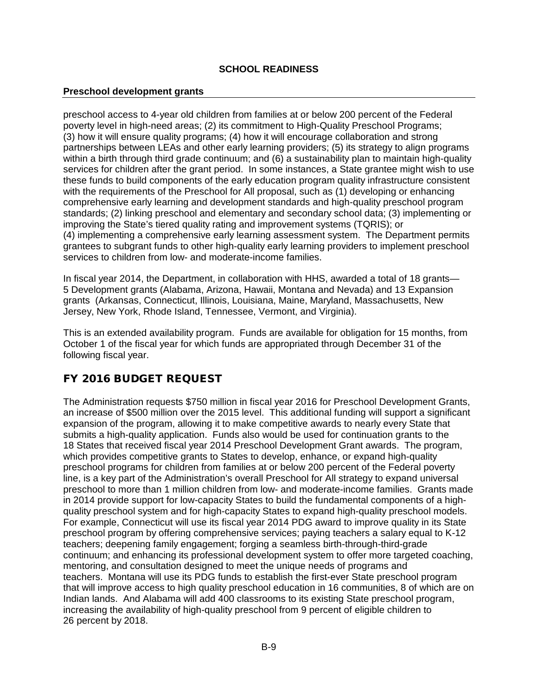#### **Preschool development grants**

preschool access to 4-year old children from families at or below 200 percent of the Federal poverty level in high-need areas; (2) its commitment to High-Quality Preschool Programs; (3) how it will ensure quality programs; (4) how it will encourage collaboration and strong partnerships between LEAs and other early learning providers; (5) its strategy to align programs within a birth through third grade continuum; and (6) a sustainability plan to maintain high-quality services for children after the grant period. In some instances, a State grantee might wish to use these funds to build components of the early education program quality infrastructure consistent with the requirements of the Preschool for All proposal, such as (1) developing or enhancing comprehensive early learning and development standards and high-quality preschool program standards; (2) linking preschool and elementary and secondary school data; (3) implementing or improving the State's tiered quality rating and improvement systems (TQRIS); or (4) implementing a comprehensive early learning assessment system. The Department permits grantees to subgrant funds to other high-quality early learning providers to implement preschool services to children from low- and moderate-income families.

In fiscal year 2014, the Department, in collaboration with HHS, awarded a total of 18 grants— 5 Development grants (Alabama, Arizona, Hawaii, Montana and Nevada) and 13 Expansion grants (Arkansas, Connecticut, Illinois, Louisiana, Maine, Maryland, Massachusetts, New Jersey, New York, Rhode Island, Tennessee, Vermont, and Virginia).

This is an extended availability program. Funds are available for obligation for 15 months, from October 1 of the fiscal year for which funds are appropriated through December 31 of the following fiscal year.

## FY 2016 BUDGET REQUEST

The Administration requests \$750 million in fiscal year 2016 for Preschool Development Grants, an increase of \$500 million over the 2015 level. This additional funding will support a significant expansion of the program, allowing it to make competitive awards to nearly every State that submits a high-quality application. Funds also would be used for continuation grants to the 18 States that received fiscal year 2014 Preschool Development Grant awards. The program, which provides competitive grants to States to develop, enhance, or expand high-quality preschool programs for children from families at or below 200 percent of the Federal poverty line, is a key part of the Administration's overall Preschool for All strategy to expand universal preschool to more than 1 million children from low- and moderate-income families. Grants made in 2014 provide support for low-capacity States to build the fundamental components of a highquality preschool system and for high-capacity States to expand high-quality preschool models. For example, Connecticut will use its fiscal year 2014 PDG award to improve quality in its State preschool program by offering comprehensive services; paying teachers a salary equal to K-12 teachers; deepening family engagement; forging a seamless birth-through-third-grade continuum; and enhancing its professional development system to offer more targeted coaching, mentoring, and consultation designed to meet the unique needs of programs and teachers. Montana will use its PDG funds to establish the first-ever State preschool program that will improve access to high quality preschool education in 16 communities, 8 of which are on Indian lands. And Alabama will add 400 classrooms to its existing State preschool program, increasing the availability of high-quality preschool from 9 percent of eligible children to 26 percent by 2018.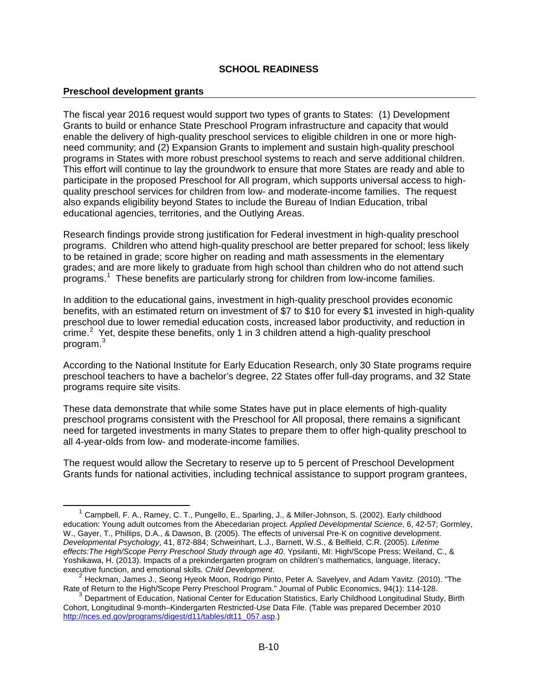#### **Preschool development grants**

-

The fiscal year 2016 request would support two types of grants to States: (1) Development Grants to build or enhance State Preschool Program infrastructure and capacity that would enable the delivery of high-quality preschool services to eligible children in one or more highneed community; and (2) Expansion Grants to implement and sustain high-quality preschool programs in States with more robust preschool systems to reach and serve additional children. This effort will continue to lay the groundwork to ensure that more States are ready and able to participate in the proposed Preschool for All program, which supports universal access to highquality preschool services for children from low- and moderate-income families. The request also expands eligibility beyond States to include the Bureau of Indian Education, tribal educational agencies, territories, and the Outlying Areas.

Research findings provide strong justification for Federal investment in high-quality preschool programs. Children who attend high-quality preschool are better prepared for school; less likely to be retained in grade; score higher on reading and math assessments in the elementary grades; and are more likely to graduate from high school than children who do not attend such programs.<sup>[1](#page-10-0)</sup> These benefits are particularly strong for children from low-income families.

In addition to the educational gains, investment in high-quality preschool provides economic benefits, with an estimated return on investment of \$7 to \$10 for every \$1 invested in high-quality preschool due to lower remedial education costs, increased labor productivity, and reduction in crime. $2$  Yet, despite these benefits, only 1 in 3 children attend a high-quality preschool program.[3](#page-10-2)

According to the National Institute for Early Education Research, only 30 State programs require preschool teachers to have a bachelor's degree, 22 States offer full-day programs, and 32 State programs require site visits.

These data demonstrate that while some States have put in place elements of high-quality preschool programs consistent with the Preschool for All proposal, there remains a significant need for targeted investments in many States to prepare them to offer high-quality preschool to all 4-year-olds from low- and moderate-income families.

The request would allow the Secretary to reserve up to 5 percent of Preschool Development Grants funds for national activities, including technical assistance to support program grantees,

<span id="page-10-0"></span><sup>&</sup>lt;sup>1</sup> Campbell, F. A., Ramey, C. T., Pungello, E., Sparling, J., & Miller-Johnson, S. (2002). Early childhood education: Young adult outcomes from the Abecedarian project. *Applied Developmental Science*, 6, 42-57; Gormley, W., Gayer, T., Phillips, D.A., & Dawson, B. (2005). The effects of universal Pre-K on cognitive development. *Developmental Psychology*, 41, 872-884; Schweinhart, L.J., Barnett, W.S., & Belfield, C.R. (2005). *Lifetime effects:The High/Scope Perry Preschool Study through age 40*. Ypsilanti, MI: High/Scope Press; Weiland, C., & Yoshikawa, H. (2013). Impacts of a prekindergarten program on children's mathematics, language, literacy, executive function, and emotional skills. Child Development.

<span id="page-10-1"></span><sup>&</sup>lt;sup>2</sup> Heckman, James J., Seong Hyeok Moon, Rodrigo Pinto, Peter A. Savelyev, and Adam Yavitz. (2010). "The Rate of Return to the High/Scope Perry Preschool Program." Journal of Public Economics, 94(1): 114-128.

<span id="page-10-2"></span><sup>&</sup>lt;sup>3</sup> Department of Education, National Center for Education Statistics, Early Childhood Longitudinal Study, Birth Cohort, Longitudinal 9-month–Kindergarten Restricted-Use Data File. (Table was prepared December 2010 [http://nces.ed.gov/programs/digest/d11/tables/dt11\\_057.asp.](http://nces.ed.gov/programs/digest/d11/tables/dt11_057.asp))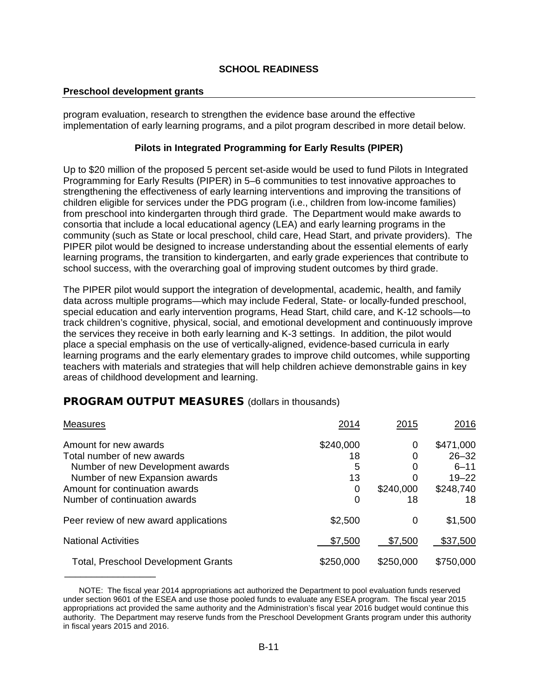#### **Preschool development grants**

\_\_\_\_\_\_\_\_\_\_\_\_\_\_\_\_\_

program evaluation, research to strengthen the evidence base around the effective implementation of early learning programs, and a pilot program described in more detail below.

#### **Pilots in Integrated Programming for Early Results (PIPER)**

Up to \$20 million of the proposed 5 percent set-aside would be used to fund Pilots in Integrated Programming for Early Results (PIPER) in 5–6 communities to test innovative approaches to strengthening the effectiveness of early learning interventions and improving the transitions of children eligible for services under the PDG program (i.e., children from low-income families) from preschool into kindergarten through third grade. The Department would make awards to consortia that include a local educational agency (LEA) and early learning programs in the community (such as State or local preschool, child care, Head Start, and private providers). The PIPER pilot would be designed to increase understanding about the essential elements of early learning programs, the transition to kindergarten, and early grade experiences that contribute to school success, with the overarching goal of improving student outcomes by third grade.

The PIPER pilot would support the integration of developmental, academic, health, and family data across multiple programs—which may include Federal, State- or locally-funded preschool, special education and early intervention programs, Head Start, child care, and K-12 schools—to track children's cognitive, physical, social, and emotional development and continuously improve the services they receive in both early learning and K-3 settings. In addition, the pilot would place a special emphasis on the use of vertically-aligned, evidence-based curricula in early learning programs and the early elementary grades to improve child outcomes, while supporting teachers with materials and strategies that will help children achieve demonstrable gains in key areas of childhood development and learning.

## PROGRAM OUTPUT MEASURES (dollars in thousands)

| <b>Measures</b>                            | 2014      | 2015      | <u> 2016</u> |
|--------------------------------------------|-----------|-----------|--------------|
| Amount for new awards                      | \$240,000 | 0         | \$471,000    |
| Total number of new awards                 | 18        | Ω         | $26 - 32$    |
| Number of new Development awards           | 5         | 0         | $6 - 11$     |
| Number of new Expansion awards             | 13        |           | $19 - 22$    |
| Amount for continuation awards             | 0         | \$240,000 | \$248,740    |
| Number of continuation awards              | 0         | 18        | 18           |
| Peer review of new award applications      | \$2,500   | 0         | \$1,500      |
| <b>National Activities</b>                 | \$7,500   | \$7,500   | \$37,500     |
| <b>Total, Preschool Development Grants</b> | \$250,000 | \$250,000 | \$750,000    |

NOTE: The fiscal year 2014 appropriations act authorized the Department to pool evaluation funds reserved under section 9601 of the ESEA and use those pooled funds to evaluate any ESEA program. The fiscal year 2015 appropriations act provided the same authority and the Administration's fiscal year 2016 budget would continue this authority. The Department may reserve funds from the Preschool Development Grants program under this authority in fiscal years 2015 and 2016.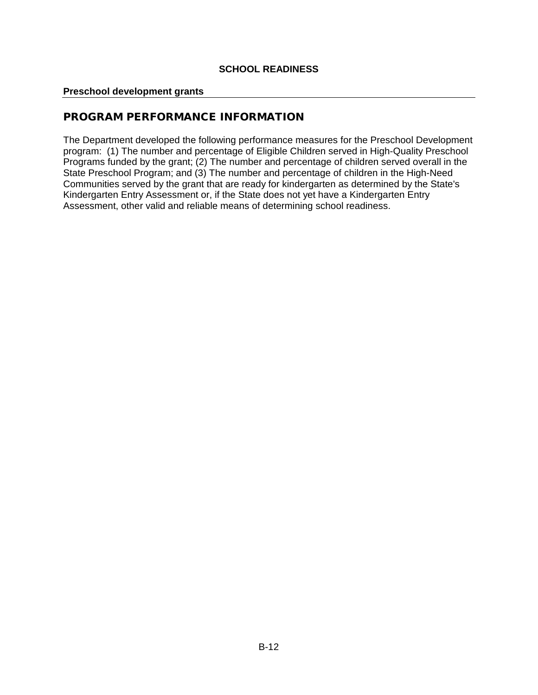#### **Preschool development grants**

## PROGRAM PERFORMANCE INFORMATION

The Department developed the following performance measures for the Preschool Development program: (1) The number and percentage of Eligible Children served in High-Quality Preschool Programs funded by the grant; (2) The number and percentage of children served overall in the State Preschool Program; and (3) The number and percentage of children in the High-Need Communities served by the grant that are ready for kindergarten as determined by the State's Kindergarten Entry Assessment or, if the State does not yet have a Kindergarten Entry Assessment, other valid and reliable means of determining school readiness.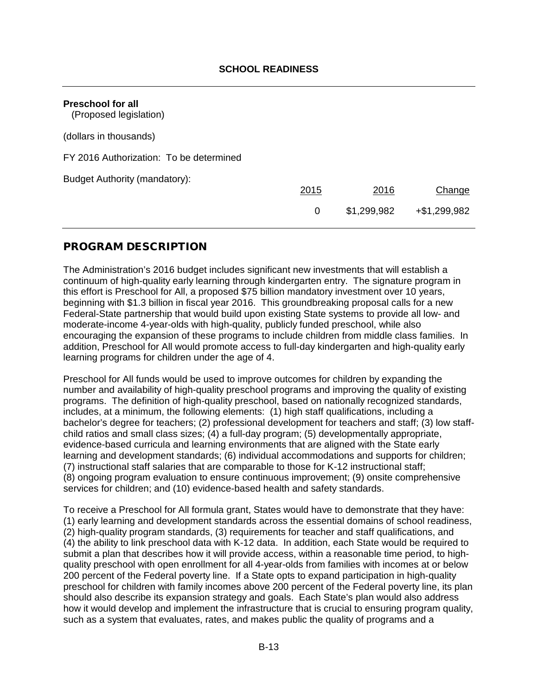<span id="page-13-0"></span>

| <b>Preschool for all</b><br>(Proposed legislation) |      |             |                 |
|----------------------------------------------------|------|-------------|-----------------|
| (dollars in thousands)                             |      |             |                 |
| FY 2016 Authorization: To be determined            |      |             |                 |
| Budget Authority (mandatory):                      | 2015 | 2016        | Change          |
|                                                    | 0    | \$1,299,982 | $+$ \$1,299,982 |

## PROGRAM DESCRIPTION

The Administration's 2016 budget includes significant new investments that will establish a continuum of high-quality early learning through kindergarten entry. The signature program in this effort is Preschool for All, a proposed \$75 billion mandatory investment over 10 years, beginning with \$1.3 billion in fiscal year 2016. This groundbreaking proposal calls for a new Federal-State partnership that would build upon existing State systems to provide all low- and moderate-income 4-year-olds with high-quality, publicly funded preschool, while also encouraging the expansion of these programs to include children from middle class families. In addition, Preschool for All would promote access to full-day kindergarten and high-quality early learning programs for children under the age of 4.

Preschool for All funds would be used to improve outcomes for children by expanding the number and availability of high-quality preschool programs and improving the quality of existing programs. The definition of high-quality preschool, based on nationally recognized standards, includes, at a minimum, the following elements: (1) high staff qualifications, including a bachelor's degree for teachers; (2) professional development for teachers and staff; (3) low staffchild ratios and small class sizes; (4) a full-day program; (5) developmentally appropriate, evidence-based curricula and learning environments that are aligned with the State early learning and development standards; (6) individual accommodations and supports for children; (7) instructional staff salaries that are comparable to those for K-12 instructional staff; (8) ongoing program evaluation to ensure continuous improvement; (9) onsite comprehensive services for children; and (10) evidence-based health and safety standards.

To receive a Preschool for All formula grant, States would have to demonstrate that they have: (1) early learning and development standards across the essential domains of school readiness, (2) high-quality program standards, (3) requirements for teacher and staff qualifications, and (4) the ability to link preschool data with K-12 data. In addition, each State would be required to submit a plan that describes how it will provide access, within a reasonable time period, to highquality preschool with open enrollment for all 4-year-olds from families with incomes at or below 200 percent of the Federal poverty line. If a State opts to expand participation in high-quality preschool for children with family incomes above 200 percent of the Federal poverty line, its plan should also describe its expansion strategy and goals. Each State's plan would also address how it would develop and implement the infrastructure that is crucial to ensuring program quality, such as a system that evaluates, rates, and makes public the quality of programs and a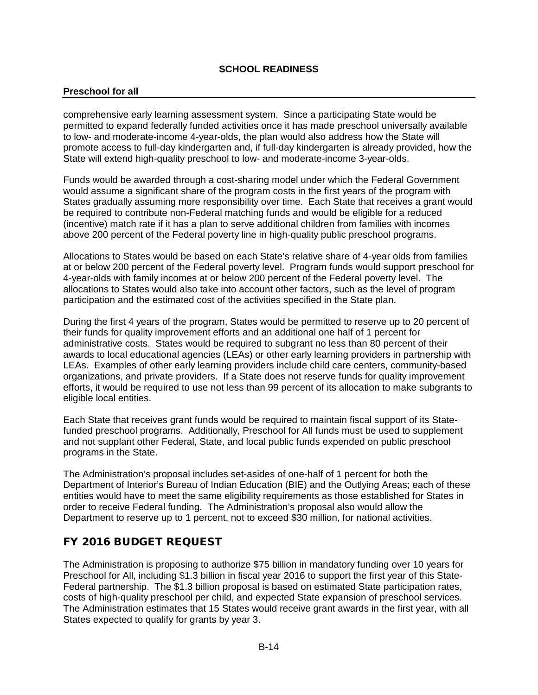#### **Preschool for all**

comprehensive early learning assessment system. Since a participating State would be permitted to expand federally funded activities once it has made preschool universally available to low- and moderate-income 4-year-olds, the plan would also address how the State will promote access to full-day kindergarten and, if full-day kindergarten is already provided, how the State will extend high-quality preschool to low- and moderate-income 3-year-olds.

Funds would be awarded through a cost-sharing model under which the Federal Government would assume a significant share of the program costs in the first years of the program with States gradually assuming more responsibility over time. Each State that receives a grant would be required to contribute non-Federal matching funds and would be eligible for a reduced (incentive) match rate if it has a plan to serve additional children from families with incomes above 200 percent of the Federal poverty line in high-quality public preschool programs.

Allocations to States would be based on each State's relative share of 4-year olds from families at or below 200 percent of the Federal poverty level. Program funds would support preschool for 4-year-olds with family incomes at or below 200 percent of the Federal poverty level. The allocations to States would also take into account other factors, such as the level of program participation and the estimated cost of the activities specified in the State plan.

During the first 4 years of the program, States would be permitted to reserve up to 20 percent of their funds for quality improvement efforts and an additional one half of 1 percent for administrative costs. States would be required to subgrant no less than 80 percent of their awards to local educational agencies (LEAs) or other early learning providers in partnership with LEAs. Examples of other early learning providers include child care centers, community-based organizations, and private providers. If a State does not reserve funds for quality improvement efforts, it would be required to use not less than 99 percent of its allocation to make subgrants to eligible local entities.

Each State that receives grant funds would be required to maintain fiscal support of its Statefunded preschool programs. Additionally, Preschool for All funds must be used to supplement and not supplant other Federal, State, and local public funds expended on public preschool programs in the State.

The Administration's proposal includes set-asides of one-half of 1 percent for both the Department of Interior's Bureau of Indian Education (BIE) and the Outlying Areas; each of these entities would have to meet the same eligibility requirements as those established for States in order to receive Federal funding. The Administration's proposal also would allow the Department to reserve up to 1 percent, not to exceed \$30 million, for national activities.

## FY 2016 BUDGET REQUEST

The Administration is proposing to authorize \$75 billion in mandatory funding over 10 years for Preschool for All, including \$1.3 billion in fiscal year 2016 to support the first year of this State-Federal partnership. The \$1.3 billion proposal is based on estimated State participation rates, costs of high-quality preschool per child, and expected State expansion of preschool services. The Administration estimates that 15 States would receive grant awards in the first year, with all States expected to qualify for grants by year 3.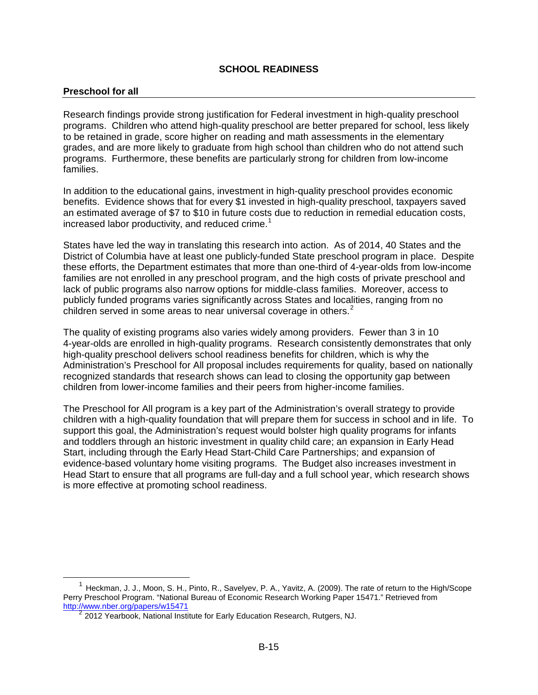#### **Preschool for all**

-

Research findings provide strong justification for Federal investment in high-quality preschool programs. Children who attend high-quality preschool are better prepared for school, less likely to be retained in grade, score higher on reading and math assessments in the elementary grades, and are more likely to graduate from high school than children who do not attend such programs. Furthermore, these benefits are particularly strong for children from low-income families.

In addition to the educational gains, investment in high-quality preschool provides economic benefits. Evidence shows that for every \$1 invested in high-quality preschool, taxpayers saved an estimated average of \$7 to \$10 in future costs due to reduction in remedial education costs, increased labor productivity, and reduced crime.<sup>[1](#page-15-0)</sup>

States have led the way in translating this research into action. As of 2014, 40 States and the District of Columbia have at least one publicly-funded State preschool program in place. Despite these efforts, the Department estimates that more than one-third of 4-year-olds from low-income families are not enrolled in any preschool program, and the high costs of private preschool and lack of public programs also narrow options for middle-class families. Moreover, access to publicly funded programs varies significantly across States and localities, ranging from no children served in some areas to near universal coverage in others.<sup>[2](#page-15-1)</sup>

The quality of existing programs also varies widely among providers. Fewer than 3 in 10 4-year-olds are enrolled in high-quality programs. Research consistently demonstrates that only high-quality preschool delivers school readiness benefits for children, which is why the Administration's Preschool for All proposal includes requirements for quality, based on nationally recognized standards that research shows can lead to closing the opportunity gap between children from lower-income families and their peers from higher-income families.

The Preschool for All program is a key part of the Administration's overall strategy to provide children with a high-quality foundation that will prepare them for success in school and in life. To support this goal, the Administration's request would bolster high quality programs for infants and toddlers through an historic investment in quality child care; an expansion in Early Head Start, including through the Early Head Start-Child Care Partnerships; and expansion of evidence-based voluntary home visiting programs. The Budget also increases investment in Head Start to ensure that all programs are full-day and a full school year, which research shows is more effective at promoting school readiness.

<span id="page-15-1"></span><span id="page-15-0"></span> $1$  Heckman, J. J., Moon, S. H., Pinto, R., Savelyev, P. A., Yavitz, A. (2009). The rate of return to the High/Scope Perry Preschool Program. "National Bureau of Economic Research Working Paper 15471." Retrieved from http://www.nber.org/papers/w15471

<sup>&</sup>lt;sup>2</sup> 2012 Yearbook, National Institute for Early Education Research, Rutgers, NJ.